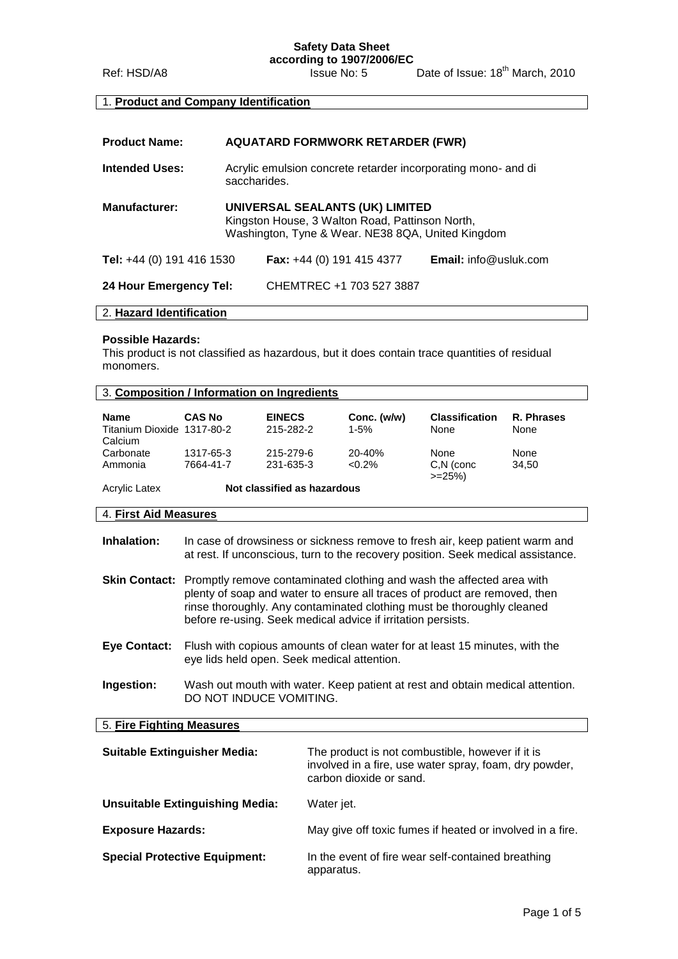# **Safety Data Sheet**

**according to 1907/2006/EC** Ref: HSD/A8 Issue No: 5 Date of Issue: 18<sup>th</sup> March, 2010

# 1. **Product and Company Identification**

| <b>Product Name:</b>             | <b>AQUATARD FORMWORK RETARDER (FWR)</b>                                                                                                 |                                    |                              |
|----------------------------------|-----------------------------------------------------------------------------------------------------------------------------------------|------------------------------------|------------------------------|
| <b>Intended Uses:</b>            | Acrylic emulsion concrete retarder incorporating mono- and di<br>saccharides.                                                           |                                    |                              |
| <b>Manufacturer:</b>             | UNIVERSAL SEALANTS (UK) LIMITED<br>Kingston House, 3 Walton Road, Pattinson North,<br>Washington, Tyne & Wear. NE38 8QA, United Kingdom |                                    |                              |
| <b>Tel:</b> +44 (0) 191 416 1530 |                                                                                                                                         | <b>Fax:</b> $+44$ (0) 191 415 4377 | <b>Email:</b> info@usluk.com |
| 24 Hour Emergency Tel:           |                                                                                                                                         | CHEMTREC +1 703 527 3887           |                              |

## 2. **Hazard Identification**

#### **Possible Hazards:**

This product is not classified as hazardous, but it does contain trace quantities of residual monomers.

| 3. Composition / Information on Ingredients |                             |                            |                         |                               |                    |
|---------------------------------------------|-----------------------------|----------------------------|-------------------------|-------------------------------|--------------------|
| <b>Name</b><br>Titanium Dioxide 1317-80-2   | <b>CAS No</b>               | <b>EINECS</b><br>215-282-2 | Conc. (w/w)<br>$1 - 5%$ | <b>Classification</b><br>None | R. Phrases<br>None |
| Calcium                                     |                             |                            |                         |                               |                    |
| Carbonate                                   | 1317-65-3                   | 215-279-6                  | 20-40%                  | None                          | None               |
| Ammonia                                     | 7664-41-7                   | 231-635-3                  | $<0.2\%$                | C,N (conc<br>$>=25%$          | 34.50              |
| <b>Acrylic Latex</b>                        | Not classified as hazardous |                            |                         |                               |                    |
| 4. First Aid Measures                       |                             |                            |                         |                               |                    |

| Inhalation: | In case of drowsiness or sickness remove to fresh air, keep patient warm and     |
|-------------|----------------------------------------------------------------------------------|
|             | at rest. If unconscious, turn to the recovery position. Seek medical assistance. |

| <b>Skin Contact:</b> Promptly remove contaminated clothing and wash the affected area with |
|--------------------------------------------------------------------------------------------|
| plenty of soap and water to ensure all traces of product are removed, then                 |
| rinse thoroughly. Any contaminated clothing must be thoroughly cleaned                     |
| before re-using. Seek medical advice if irritation persists.                               |

- **Eye Contact:** Flush with copious amounts of clean water for at least 15 minutes, with the eye lids held open. Seek medical attention.
- **Ingestion:** Wash out mouth with water. Keep patient at rest and obtain medical attention. DO NOT INDUCE VOMITING.

# 5. **Fire Fighting Measures**

| <b>Suitable Extinguisher Media:</b>  | The product is not combustible, however if it is<br>involved in a fire, use water spray, foam, dry powder,<br>carbon dioxide or sand. |
|--------------------------------------|---------------------------------------------------------------------------------------------------------------------------------------|
| Unsuitable Extinguishing Media:      | Water jet.                                                                                                                            |
| <b>Exposure Hazards:</b>             | May give off toxic fumes if heated or involved in a fire.                                                                             |
| <b>Special Protective Equipment:</b> | In the event of fire wear self-contained breathing<br>apparatus.                                                                      |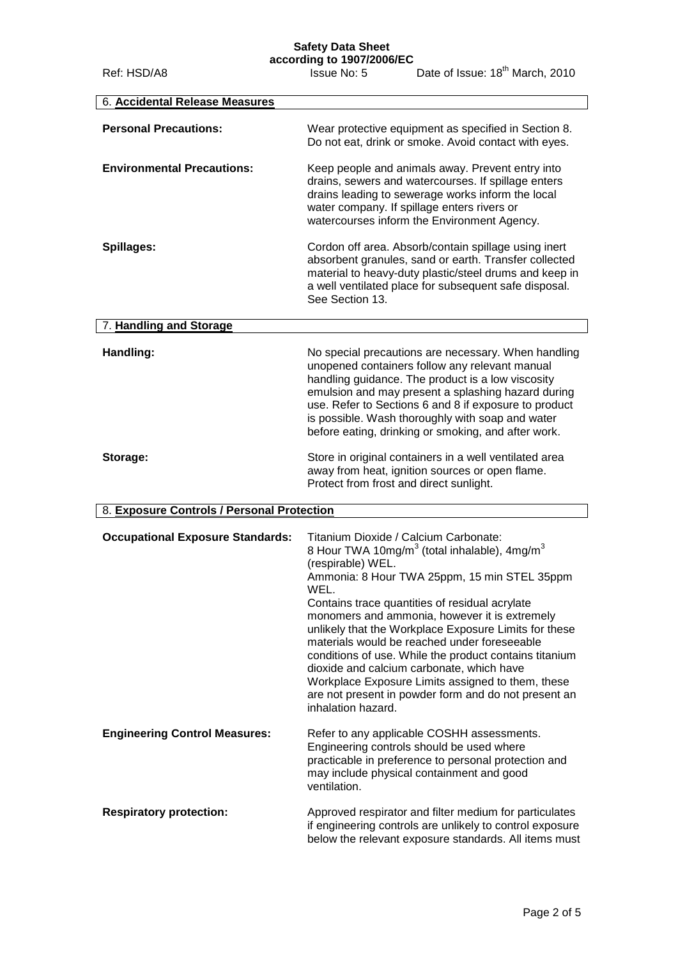# **Safety Data Sheet**

**according to 1907/2006/EC**

Ref: HSD/A8 Issue No: 5 Date of Issue: 18<sup>th</sup> March, 2010 6. **Accidental Release Measures Personal Precautions:** Wear protective equipment as specified in Section 8. Do not eat, drink or smoke. Avoid contact with eyes. **Environmental Precautions:** Keep people and animals away. Prevent entry into drains, sewers and watercourses. If spillage enters drains leading to sewerage works inform the local water company. If spillage enters rivers or watercourses inform the Environment Agency. **Spillages:** Cordon off area. Absorb/contain spillage using inert absorbent granules, sand or earth. Transfer collected material to heavy-duty plastic/steel drums and keep in a well ventilated place for subsequent safe disposal. See Section 13. 7. **Handling and Storage Handling:** No special precautions are necessary. When handling unopened containers follow any relevant manual handling guidance. The product is a low viscosity emulsion and may present a splashing hazard during use. Refer to Sections 6 and 8 if exposure to product is possible. Wash thoroughly with soap and water before eating, drinking or smoking, and after work. **Storage:** Store in original containers in a well ventilated area away from heat, ignition sources or open flame. Protect from frost and direct sunlight. 8. **Exposure Controls / Personal Protection Occupational Exposure Standards:** Titanium Dioxide / Calcium Carbonate: 8 Hour TWA 10mg/m $3$  (total inhalable), 4mg/m $3$ (respirable) WEL. Ammonia: 8 Hour TWA 25ppm, 15 min STEL 35ppm WEL. Contains trace quantities of residual acrylate monomers and ammonia, however it is extremely unlikely that the Workplace Exposure Limits for these materials would be reached under foreseeable conditions of use. While the product contains titanium dioxide and calcium carbonate, which have Workplace Exposure Limits assigned to them, these are not present in powder form and do not present an inhalation hazard. **Engineering Control Measures:** Refer to any applicable COSHH assessments. Engineering controls should be used where practicable in preference to personal protection and may include physical containment and good ventilation. **Respiratory protection:** Approved respirator and filter medium for particulates if engineering controls are unlikely to control exposure below the relevant exposure standards. All items must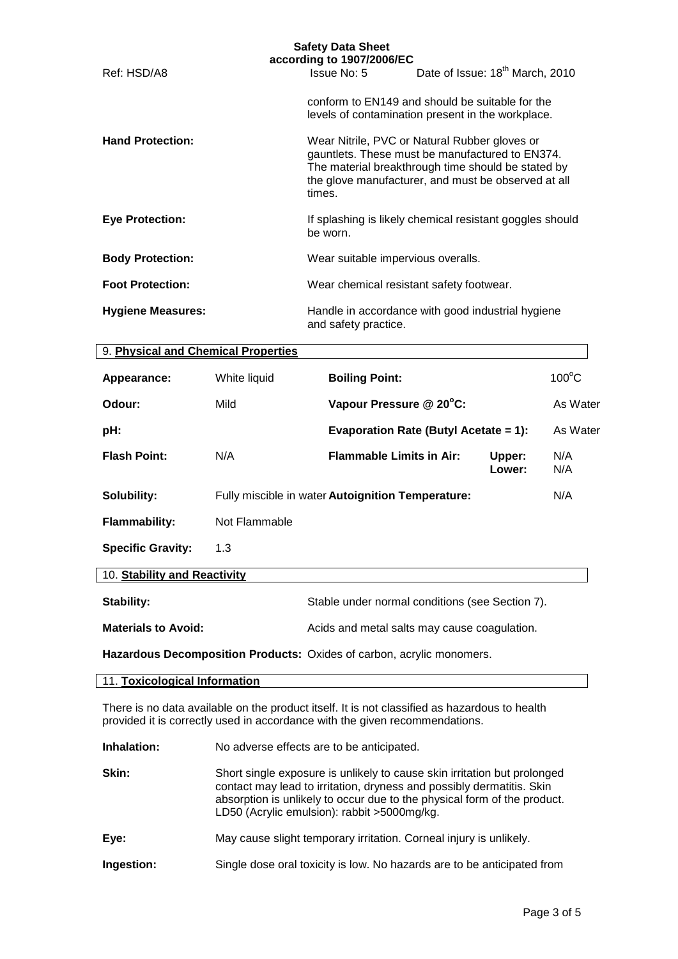|                                     |               | <b>Safety Data Sheet</b><br>according to 1907/2006/EC                                                                                                                                                                   |                                             |                 |
|-------------------------------------|---------------|-------------------------------------------------------------------------------------------------------------------------------------------------------------------------------------------------------------------------|---------------------------------------------|-----------------|
| Ref: HSD/A8                         |               | Issue No: 5                                                                                                                                                                                                             | Date of Issue: 18 <sup>th</sup> March, 2010 |                 |
|                                     |               | conform to EN149 and should be suitable for the<br>levels of contamination present in the workplace.                                                                                                                    |                                             |                 |
| <b>Hand Protection:</b>             |               | Wear Nitrile, PVC or Natural Rubber gloves or<br>gauntlets. These must be manufactured to EN374.<br>The material breakthrough time should be stated by<br>the glove manufacturer, and must be observed at all<br>times. |                                             |                 |
| <b>Eye Protection:</b>              |               | If splashing is likely chemical resistant goggles should<br>be worn.                                                                                                                                                    |                                             |                 |
| <b>Body Protection:</b>             |               | Wear suitable impervious overalls.                                                                                                                                                                                      |                                             |                 |
| <b>Foot Protection:</b>             |               | Wear chemical resistant safety footwear.                                                                                                                                                                                |                                             |                 |
| <b>Hygiene Measures:</b>            |               | Handle in accordance with good industrial hygiene<br>and safety practice.                                                                                                                                               |                                             |                 |
| 9. Physical and Chemical Properties |               |                                                                                                                                                                                                                         |                                             |                 |
| Appearance:                         | White liquid  | <b>Boiling Point:</b>                                                                                                                                                                                                   |                                             | $100^{\circ}$ C |
| Odour:                              | Mild          | Vapour Pressure @ 20°C:                                                                                                                                                                                                 |                                             | As Water        |
| pH:                                 |               | <b>Evaporation Rate (Butyl Acetate = 1):</b>                                                                                                                                                                            |                                             | As Water        |
| <b>Flash Point:</b>                 | N/A           | <b>Flammable Limits in Air:</b>                                                                                                                                                                                         | Upper:<br>Lower:                            | N/A<br>N/A      |
| Solubility:                         |               | Fully miscible in water Autoignition Temperature:                                                                                                                                                                       |                                             | N/A             |
| <b>Flammability:</b>                | Not Flammable |                                                                                                                                                                                                                         |                                             |                 |
| <b>Specific Gravity:</b>            | 1.3           |                                                                                                                                                                                                                         |                                             |                 |
| 10. Stability and Reactivity        |               |                                                                                                                                                                                                                         |                                             |                 |
| Stability:                          |               | Stable under normal conditions (see Section 7).                                                                                                                                                                         |                                             |                 |

**Materials to Avoid:** Acids and metal salts may cause coagulation.

**Hazardous Decomposition Products:** Oxides of carbon, acrylic monomers.

## 11. **Toxicological Information**

There is no data available on the product itself. It is not classified as hazardous to health provided it is correctly used in accordance with the given recommendations.

**Inhalation:** No adverse effects are to be anticipated.

**Skin:** Short single exposure is unlikely to cause skin irritation but prolonged contact may lead to irritation, dryness and possibly dermatitis. Skin absorption is unlikely to occur due to the physical form of the product. LD50 (Acrylic emulsion): rabbit >5000mg/kg.

**Eye:** May cause slight temporary irritation. Corneal injury is unlikely.

**Ingestion:** Single dose oral toxicity is low. No hazards are to be anticipated from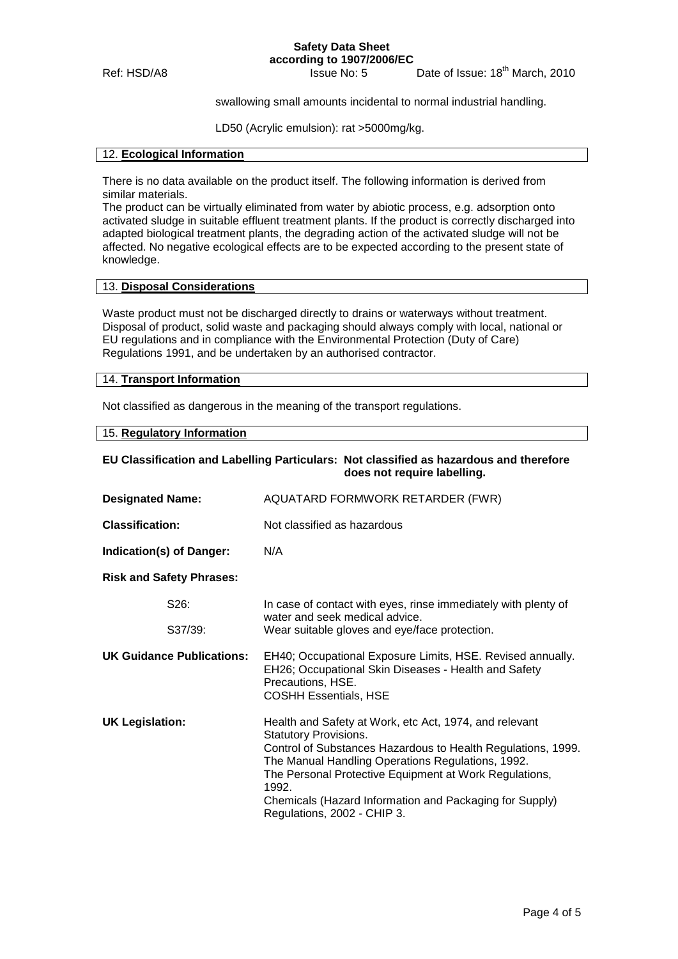**Safety Data Sheet according to 1907/2006/EC**

Ref: HSD/A8 Issue No: 5 Date of Issue: 18<sup>th</sup> March, 2010

swallowing small amounts incidental to normal industrial handling.

LD50 (Acrylic emulsion): rat >5000mg/kg.

#### 12. **Ecological Information**

There is no data available on the product itself. The following information is derived from similar materials.

The product can be virtually eliminated from water by abiotic process, e.g. adsorption onto activated sludge in suitable effluent treatment plants. If the product is correctly discharged into adapted biological treatment plants, the degrading action of the activated sludge will not be affected. No negative ecological effects are to be expected according to the present state of knowledge.

## 13. **Disposal Considerations**

Waste product must not be discharged directly to drains or waterways without treatment. Disposal of product, solid waste and packaging should always comply with local, national or EU regulations and in compliance with the Environmental Protection (Duty of Care) Regulations 1991, and be undertaken by an authorised contractor.

# 14. **Transport Information**

Not classified as dangerous in the meaning of the transport regulations.

15. **Regulatory Information**

## **EU Classification and Labelling Particulars: Not classified as hazardous and therefore does not require labelling.**

| <b>Designated Name:</b>          | AQUATARD FORMWORK RETARDER (FWR)                                                                                                                                                                                                                                                                                                                                         |  |  |
|----------------------------------|--------------------------------------------------------------------------------------------------------------------------------------------------------------------------------------------------------------------------------------------------------------------------------------------------------------------------------------------------------------------------|--|--|
| <b>Classification:</b>           | Not classified as hazardous                                                                                                                                                                                                                                                                                                                                              |  |  |
| Indication(s) of Danger:         | N/A                                                                                                                                                                                                                                                                                                                                                                      |  |  |
| <b>Risk and Safety Phrases:</b>  |                                                                                                                                                                                                                                                                                                                                                                          |  |  |
| S <sub>26</sub> :                | In case of contact with eyes, rinse immediately with plenty of<br>water and seek medical advice.                                                                                                                                                                                                                                                                         |  |  |
| S37/39:                          | Wear suitable gloves and eye/face protection.                                                                                                                                                                                                                                                                                                                            |  |  |
| <b>UK Guidance Publications:</b> | EH40; Occupational Exposure Limits, HSE. Revised annually.<br>EH26; Occupational Skin Diseases - Health and Safety<br>Precautions, HSE.<br><b>COSHH Essentials, HSE</b>                                                                                                                                                                                                  |  |  |
| <b>UK Legislation:</b>           | Health and Safety at Work, etc Act, 1974, and relevant<br><b>Statutory Provisions.</b><br>Control of Substances Hazardous to Health Regulations, 1999.<br>The Manual Handling Operations Regulations, 1992.<br>The Personal Protective Equipment at Work Regulations,<br>1992.<br>Chemicals (Hazard Information and Packaging for Supply)<br>Regulations, 2002 - CHIP 3. |  |  |